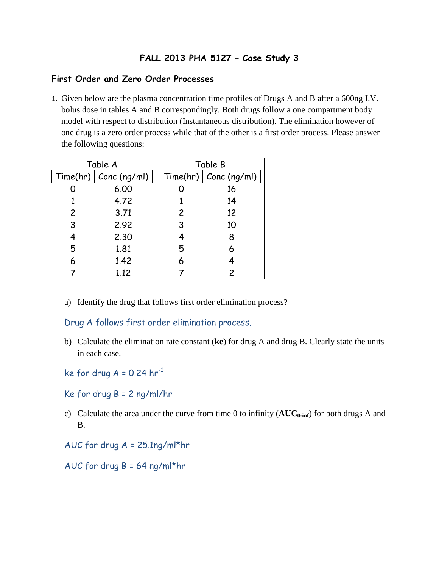## **FALL 2013 PHA 5127 – Case Study 3**

## **First Order and Zero Order Processes**

1. Given below are the plasma concentration time profiles of Drugs A and B after a 600ng I.V. bolus dose in tables A and B correspondingly. Both drugs follow a one compartment body model with respect to distribution (Instantaneous distribution). The elimination however of one drug is a zero order process while that of the other is a first order process. Please answer the following questions:

| Table A |                         | Table B        |                         |
|---------|-------------------------|----------------|-------------------------|
|         | Time(hr)   Conc (ng/ml) |                | Time(hr)   Conc (ng/ml) |
|         | 6.00                    |                | 16                      |
|         | 4.72                    |                | 14                      |
| 2       | 3.71                    | $\overline{c}$ | 12                      |
| 3       | 2.92                    | 3              | 10                      |
| 4       | 2.30                    | 4              | 8                       |
| 5       | 1.81                    | 5              | 6                       |
| 6       | 1.42                    | 6              |                         |
|         | 1.12                    |                | 2                       |

a) Identify the drug that follows first order elimination process?

Drug A follows first order elimination process.

- b) Calculate the elimination rate constant (**ke**) for drug A and drug B. Clearly state the units in each case.
- ke for drug  $A = 0.24$  hr<sup>-1</sup>
- Ke for drug B = 2 ng/ml/hr
- c) Calculate the area under the curve from time 0 to infinity ( $AUC_{0\text{-inf}}$ ) for both drugs A and B.
- AUC for drug A = 25.1ng/ml\*hr
- AUC for drug B = 64 ng/ml\*hr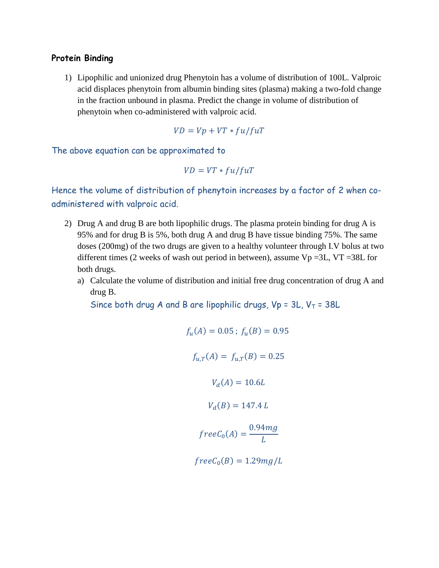## **Protein Binding**

1) Lipophilic and unionized drug Phenytoin has a volume of distribution of 100L. Valproic acid displaces phenytoin from albumin binding sites (plasma) making a two-fold change in the fraction unbound in plasma. Predict the change in volume of distribution of phenytoin when co-administered with valproic acid.

$$
VD = Vp + VT * fu/fuT
$$

The above equation can be approximated to

$$
VD = VT * fu/fuT
$$

Hence the volume of distribution of phenytoin increases by a factor of 2 when coadministered with valproic acid.

- 2) Drug A and drug B are both lipophilic drugs. The plasma protein binding for drug A is 95% and for drug B is 5%, both drug A and drug B have tissue binding 75%. The same doses (200mg) of the two drugs are given to a healthy volunteer through I.V bolus at two different times (2 weeks of wash out period in between), assume  $Vp = 3L$ ,  $VT = 38L$  for both drugs.
	- a) Calculate the volume of distribution and initial free drug concentration of drug A and drug B.

Since both drug A and B are lipophilic drugs,  $Vp = 3L$ ,  $V_T = 38L$ 

$$
f_u(A) = 0.05 \, ; \, f_u(B) = 0.95
$$
\n
$$
f_{u,T}(A) = f_{u,T}(B) = 0.25
$$
\n
$$
V_d(A) = 10.6L
$$
\n
$$
V_d(B) = 147.4 L
$$
\n
$$
freeC_0(A) = \frac{0.94mg}{L}
$$
\n
$$
freeC_0(B) = 1.29mg/L
$$